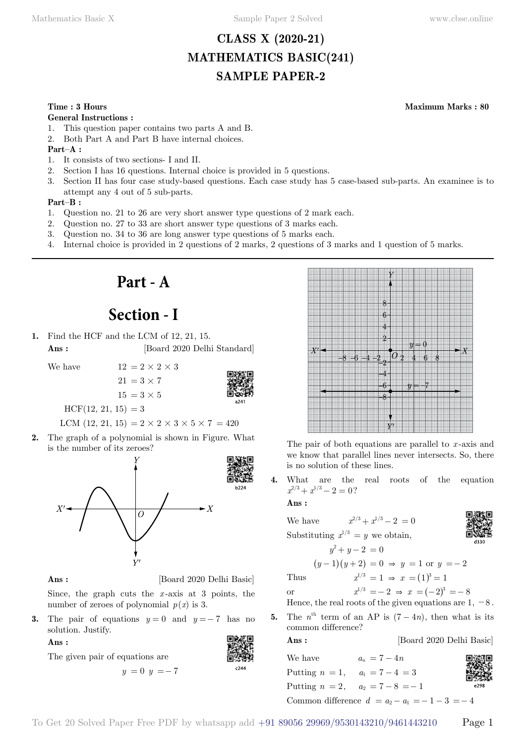## **CLASS X (2020-21) MATHEMATICS BASIC(241) SAMPLE PAPER-2**

#### **Time : 3 Hours Maximum Marks : 80**

#### **General Instructions :**

- 1. This question paper contains two parts A and B.
- 2. Both Part A and Part B have internal choices.

### **Part–A :**

- 1. It consists of two sections- I and II.
- 2. Section I has 16 questions. Internal choice is provided in 5 questions.
- 3. Section II has four case study-based questions. Each case study has 5 case-based sub-parts. An examinee is to attempt any 4 out of 5 sub-parts.

#### **Part–B :**

- 1. Question no. 21 to 26 are very short answer type questions of 2 mark each.
- 2. Question no. 27 to 33 are short answer type questions of 3 marks each.
- 3. Question no. 34 to 36 are long answer type questions of 5 marks each.
- 4. Internal choice is provided in 2 questions of 2 marks, 2 questions of 3 marks and 1 question of 5 marks.

# **Part - A**

# **Section - I**

**1.** Find the HCF and the LCM of 12, 21, 15. **Ans :** [Board 2020 Delhi Standard]

 $21 = 3 \times 7$ 

We have  $12 = 2 \times 2 \times 3$ 

 $15 = 3 \times 5$ 



 $HCF(12, 21, 15) = 3$ 

LCM  $(12, 21, 15) = 2 \times 2 \times 3 \times 5 \times 7 = 420$ 

**2.** The graph of a polynomial is shown in Figure. What is the number of its zeroes?





**Ans :** [Board 2020 Delhi Basic]

Since, the graph cuts the *x* -axis at 3 points, the number of zeroes of polynomial  $p(x)$  is 3.

**3.** The pair of equations  $y = 0$  and  $y = -7$  has no solution. Justify.

 $y = 0$   $y = -7$ 

The given pair of equations are

 **Ans :**



|    |        | 8<br>6                        |                         |                      |
|----|--------|-------------------------------|-------------------------|----------------------|
|    |        | 4<br>$\overline{2}$           |                         |                      |
|    |        |                               | $y=0$                   |                      |
|    | 6<br>8 | $\bar{O}_{\frac{3}{4}}$<br>-4 | $\frac{1}{3}$<br>6<br>4 | $\boldsymbol{\star}$ |
| X' |        | $\frac{2}{3}$<br>4            | 7                       |                      |
|    |        | 6<br>8                        | y                       |                      |

The pair of both equations are parallel to *x* -axis and we know that parallel lines never intersects. So, there is no solution of these lines.

**4.** What are the real roots of the equation  $x^{2/3} + x^{1/3} - 2 = 0$ ?

 **Ans :**

|    | $x^{2/3} + x^{1/3} - 2 = 0$<br>We have                           |      |
|----|------------------------------------------------------------------|------|
|    | Substituting $x^{1/3} = y$ we obtain,                            | d330 |
|    | $y^2 + y - 2 = 0$                                                |      |
|    | $(y-1)(y+2) = 0 \Rightarrow y = 1 \text{ or } y = -2$            |      |
|    | $x^{1/3} = 1 \Rightarrow x = (1)^3 = 1$<br>Thus                  |      |
|    | $x^{1/3} = -2 \Rightarrow x = (-2)^3 = -8$<br>or                 |      |
|    | Hence, the real roots of the given equations are $1, -8$ .       |      |
| 5. | The $n^{\text{th}}$ term of an AP is $(7-4n)$ , then what is its |      |

common difference?

**Ans :** [Board 2020 Delhi Basic]

We have  $a_n = 7 - 4n$ Putting  $n = 1$ ,  $a_1 = 7 - 4 = 3$ Putting  $n = 2$ ,  $a_2 = 7 - 8 = -1$ Common difference  $d = a_2 - a_1 = -1 - 3 = -4$ 

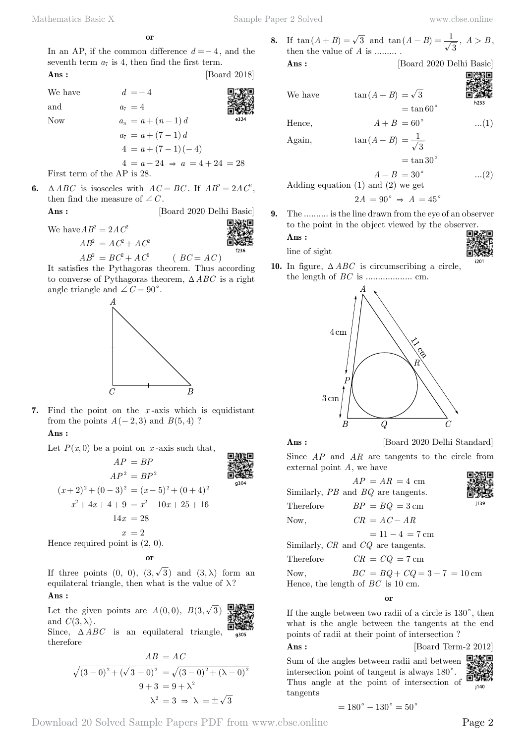**o**

In an AP, if the common difference *d* =− 4, and the seventh term  $a_7$  is 4, then find the first term. **Ans :** [Board 2018]

We have  $d = -4$ and  $a_7 = 4$ Now  $a_n = a + (n-1)d$  $a_7 = a + (7 - 1) d$  $4 = a + (7 - 1) (-4)$  $4 = a - 24 \Rightarrow a = 4 + 24 = 28$ 

First term of the AP is 28.

**6.**  $\triangle ABC$  is isosceles with  $AC = BC$ . If  $AB^2 = 2AC^2$ , then find the measure of  $\angle C$ .  **Ans :** [Board 2020 Delhi Basic]

We have  $AB^2 = 2AC^2$ 

 $AB^2 = AC^2 + AC^2$ 





It satisfies the Pythagoras theorem. Thus according to converse of Pythagoras theorem,  $\triangle ABC$  is a right angle triangle and  $\angle C = 90^{\circ}$ .



**7.** Find the point on the *x* -axis which is equidistant from the points  $A(-2, 3)$  and  $B(5, 4)$ ?

## **Ans :**

Let  $P(x, 0)$  be a point on *x*-axis such that,

$$
AP = BP
$$
  
\n
$$
AP^{2} = BP^{2}
$$
  
\n
$$
(x+2)^{2} + (0-3)^{2} = (x-5)^{2} + (0+4)^{2}
$$
  
\n
$$
x^{2} + 4x + 4 + 9 = x^{2} - 10x + 25 + 16
$$
  
\n
$$
14x = 28
$$
  
\n
$$
x = 2
$$
  
\nHence required point is (2, 0).

 **o**

If three points  $(0, 0), (3, \sqrt{3})$  and  $(3, \lambda)$  form an equilateral triangle, then what is the value of  $\lambda$ ?  **Ans :**

Let the given points are  $A(0,0)$ ,  $B(3,\sqrt{3})$ and  $C(3, \lambda)$ . Since,  $\triangle ABC$  is an equilateral triangle, therefore

$$
AB = AC
$$
  

$$
\sqrt{(3-0)^2 + (\sqrt{3}-0)^2} = \sqrt{(3-0)^2 + (\lambda - 0)^2}
$$
  

$$
9+3 = 9+\lambda^2
$$
  

$$
\lambda^2 = 3 \Rightarrow \lambda = \pm \sqrt{3}
$$

**8.** If  $\tan(A+B) = \sqrt{3}$  and  $\tan(A-B) = \frac{1}{\sqrt{3}}$ ,  $A > B$ , then the value of A is then the value of *A* is ......... .

**Ans :** [Board 2020 Delhi Basic]

We have  $\tan (A + B) = \sqrt{3}$ 

 $=$  tan 60 $\degree$ 

h253

Hence,  $A + B = 60^{\circ}$  ...(1)

Again,  
\n
$$
\tan(A - B) = \frac{1}{\sqrt{3}}
$$
\n
$$
= \tan 30^{\circ}
$$
\n
$$
A - B = 30^{\circ}
$$
\n
$$
\dots (2)
$$
\nAdding equation (1) and (2) we get\n
$$
2A = 90^{\circ} \Rightarrow A = 45^{\circ}
$$

**9.** The .......... is the line drawn from the eye of an observer to the point in the object viewed by the observer.

line of sight

 **Ans :**

**10.** In figure,  $\triangle ABC$  is circumscribing a circle, the length of *BC* is ................... cm.



**Ans :** [Board 2020 Delhi Standard]

Since *AP* and *AR* are tangents to the circle from external point *A*, we have

 $AP = AR = 4$  cm Similarly, *PB* and *BQ* are tangents. Therefore  $BP = BO = 3 \text{ cm}$ Now,  $CR = AC - AR$  $= 11 - 4 = 7$  cm Similarly, *CR* and *CQ* are tangents. Therefore  $CR = CQ = 7$  cm Now,  $BC = BQ + CQ = 3 + 7 = 10$  cm Hence, the length of *BC* is 10 cm.

 **o**

If the angle between two radii of a circle is  $130^{\circ}$ , then what is the angle between the tangents at the end points of radii at their point of intersection ?

**Ans :** [Board Term-2 2012]

口冰口 Sum of the angles between radii and between intersection point of tangent is always  $180^\circ$ . Thus angle at the point of intersection of i140 tangents

$$
= 180^{\circ} - 130^{\circ} = 50^{\circ}
$$

Download 20 Solved Sample Papers PDF from [www.cbse.online](http://www.cbse.online) Page 2

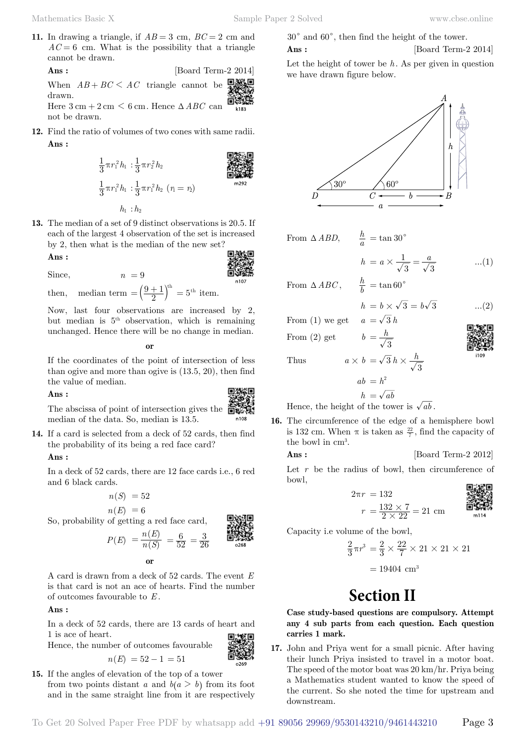**11.** In drawing a triangle, if  $AB = 3$  cm,  $BC = 2$  cm and  $AC = 6$  cm. What is the possibility that a triangle cannot be drawn.

**Ans :** [Board Term-2 2014] When  $AB + BC \le AC$  triangle cannot be drawn. Here  $3 \text{ cm} + 2 \text{ cm} \leq 6 \text{ cm}$ . Hence  $\triangle ABC$  can not be drawn.

**12.** Find the ratio of volumes of two cones with same radii.  **Ans :**

$$
\frac{1}{3}\pi r_1^2 h_1 : \frac{1}{3}\pi r_2^2 h_2
$$
\n
$$
\frac{1}{3}\pi r_1^2 h_1 : \frac{1}{3}\pi r_1^2 h_2 \quad (r_1 = r_2)
$$
\n
$$
h_1 : h_2
$$
\nQ

\nQ

\n
$$
\frac{1}{2}\pi r_1^2 h_1 : \frac{1}{3}\pi r_1^2 h_2 \quad (r_1 = r_2)
$$

**13.** The median of a set of 9 distinct observations is 20.5. If each of the largest 4 observation of the set is increased by 2, then what is the median of the new set? 同線細

 **Ans :**

$$
\begin{matrix}\n\mathbf{1} & \mathbf{1} \\
\mathbf{1} & \mathbf{1} \\
\mathbf{1} & \mathbf{1}\n\end{matrix}
$$

then, median term  $= \left(\frac{9+1}{2}\right)^{\text{th}} = 5^{\text{th}}$  item.

 $n = 9$ 

Now, last four observations are increased by 2, but median is  $5<sup>th</sup>$  observation, which is remaining unchanged. Hence there will be no change in median.

 **o**

If the coordinates of the point of intersection of less than ogive and more than ogive is (13.5, 20), then find the value of median.

#### **Ans :**



The abscissa of point of intersection gives the median of the data. So, median is 13.5.

**14.** If a card is selected from a deck of 52 cards, then find the probability of its being a red face card?

#### **Ans :**

In a deck of 52 cards, there are 12 face cards i.e., 6 red and 6 black cards.

$$
n(S) = 52
$$

 $n(E) = 6$ So, probability of getting a red face card,

$$
P(E) = \frac{n(E)}{n(S)} = \frac{6}{52} = \frac{3}{26}
$$

 **o**

A card is drawn from a deck of 52 cards. The event *E* is that card is not an ace of hearts. Find the number of outcomes favourable to *E* .

## **Ans :**

In a deck of 52 cards, there are 13 cards of heart and 1 is ace of heart.

Hence, the number of outcomes favourable

$$
n(E) = 52 - 1 = 51
$$

**15.** If the angles of elevation of the top of a tower from two points distant *a* and  $b(a > b)$  from its foot and in the same straight line from it are respectively

$$
30^{\circ}
$$
 and  $60^{\circ}$ , then find the height of the tower. Ans: [Board Term-2 2014]

Let the height of tower be *h*. As per given in question we have drawn figure below.



From 
$$
\triangle ABD
$$
,  $\frac{h}{a} = \tan 30^{\circ}$ 

$$
= a \times \frac{1}{\sqrt{3}} = \frac{a}{\sqrt{3}} \quad ...(1)
$$

From 
$$
\triangle ABC
$$
,  $\frac{h}{b} = \tan 60^{\circ}$ 

*h a*

$$
h = b \times \sqrt{3} = b\sqrt{3} \qquad \dots (2)
$$

From (1) we get 
$$
a = \sqrt{3}i
$$
  
From (2) get  $b = \frac{h}{\sqrt{3}}$ 

$$
\overline{a}
$$

Thus  $a \times b = \sqrt{3} h \times \frac{h}{\sqrt{3}}$ 

the bowl in cm<sup>3</sup>.

 $ab = h^2$ 

$$
h = \sqrt{ab}
$$

 $=\sqrt{3} h$ 

- Hence, the height of the tower is  $\sqrt{ab}$ . **16.** The circumference of the edge of a hemisphere bowl is 132 cm. When  $\pi$  is taken as  $\frac{22}{7}$ , find the capacity of
	- **Ans :** [Board Term-2 2012]

Let  $r$  be the radius of bowl, then circumference of bowl,

$$
2\pi r = 132
$$
  

$$
r = \frac{132 \times 7}{2 \times 22} = 21
$$
 cm



Capacity i.e volume of the bowl,

$$
\frac{2}{3}\pi r^3 = \frac{2}{3} \times \frac{22}{7} \times 21 \times 21 \times 21
$$

$$
= 19404 \text{ cm}^3
$$

**Section II**

**Case study-based questions are compulsory. Attempt any 4 sub parts from each question. Each question carries 1 mark.**

**17.** John and Priya went for a small picnic. After having their lunch Priya insisted to travel in a motor boat. The speed of the motor boat was 20 km/hr. Priya being a Mathematics student wanted to know the speed of the current. So she noted the time for upstream and downstream.

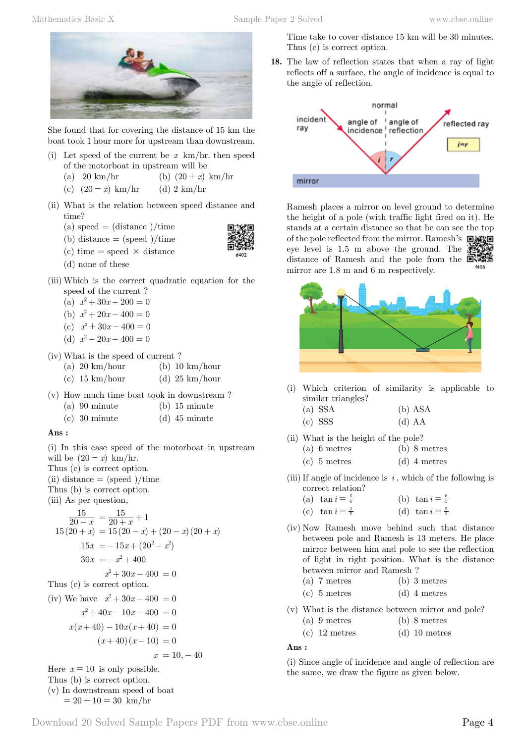

She found that for covering the distance of 15 km the boat took 1 hour more for upstream than downstream.

- (i) Let speed of the current be *x* km/hr. then speed of the motorboat in upstream will be
	- (a) 20 km/hr (b)  $(20 + x)$  km/hr
	- (c)  $(20 x)$  km/hr (d) 2 km/hr
- (ii) What is the relation between speed distance and time?
	- (a) speed  $=$  (distance )/time
	- (b) distance  $=$  (speed )/time
	- (c) time = speed  $\times$  distance
	- (d) none of these
- (iii) Which is the correct quadratic equation for the speed of the current ?
	- (a)  $x^2 + 30x 200 = 0$
	- (b)  $x^2 + 20x 400 = 0$
	- (c)  $x^2 + 30x 400 = 0$
	- (d)  $x^2 20x 400 = 0$
- (iv) What is the speed of current ?
	- (a) 20 km/hour (b) 10 km/hour
	- (c) 15 km/hour (d) 25 km/hour
- (v) How much time boat took in downstream ?
	- (a) 90 minute (b) 15 minute
	- (c) 30 minute (d) 45 minute

### **Ans :**

(i) In this case speed of the motorboat in upstream will be  $(20 - x)$  km/hr. Thus (c) is correct option.  $(ii)$  distance  $=$  (speed )/time

- Thus (b) is correct option.
- (iii) As per question,

$$
\frac{15}{20 - x} = \frac{15}{20 + x} + 1
$$
  
15(20 + x) = 15(20 - x) + (20 - x)(20 + x)  
15x = -15x + (20<sup>2</sup> - x<sup>2</sup>)  
30x = -x<sup>2</sup> + 400  
x<sup>2</sup> + 30x - 400 = 0  
Thus (c) is correct option.  
(iv) We have x<sup>2</sup> + 30x - 400 = 0  
x<sup>2</sup> + 40x - 10x - 400 = 0

$$
x(x+40) - 10x(x+40) = 0
$$
  
(x+40)(x-10) = 0  

$$
x = 10,
$$

Here  $x = 10$  is only possible. Thus (b) is correct option. (v) In downstream speed of boat  $= 20 + 10 = 30$  km/hr

Time take to cover distance 15 km will be 30 minutes. Thus (c) is correct option.

**18.** The law of reflection states that when a ray of light reflects off a surface, the angle of incidence is equal to the angle of reflection.



Ramesh places a mirror on level ground to determine the height of a pole (with traffic light fired on it). He stands at a certain distance so that he can see the top of the pole reflected from the mirror. Ramesh's 回流 eye level is 1.5 m above the ground. The distance of Ramesh and the pole from the  $\Box$ mirror are 1.8 m and 6 m respectively.



- (i) Which criterion of similarity is applicable to similar triangles?
	- (a) SSA (b) ASA
	- (c) SSS (d) AA
- (ii) What is the height of the pole?
	- (a) 6 metres (b) 8 metres
	- (c) 5 metres (d) 4 metres
- (iii) If angle of incidence is  $i$ , which of the following is correct relation?
	- (a)  $\tan i = \frac{5}{6}$  (b)  $\tan i = \frac{6}{5}$
	- (c)  $\tan i = \frac{3}{5}$  (d)  $\tan i = \frac{5}{3}$
- (iv) Now Ramesh move behind such that distance between pole and Ramesh is 13 meters. He place mirror between him and pole to see the reflection of light in right position. What is the distance between mirror and Ramesh ?
	- (a) 7 metres (b) 3 metres
	- (c) 5 metres (d) 4 metres
- (v) What is the distance between mirror and pole?
	- (a) 9 metres (b) 8 metres
	- (c) 12 metres (d) 10 metres

#### **Ans :**

(i) Since angle of incidence and angle of reflection are the same, we draw the figure as given below.

 $40$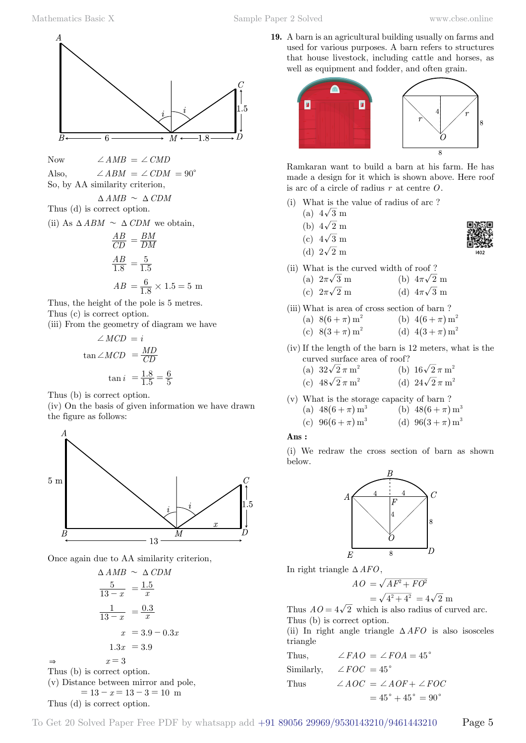**19.** A barn is an agricultural building usually on farms and used for various purposes. A barn refers to structures that house livestock, including cattle and horses, as well as equipment and fodder, and often grain.



Ramkaran want to build a barn at his farm. He has made a design for it which is shown above. Here roof is arc of a circle of radius *r* at centre *O*.

- (i) What is the value of radius of arc ?
	- (a)  $4\sqrt{3}$  m
	- (b)  $4\sqrt{2}$  m
	- (c)  $4\sqrt{3}$  m
	- (d)  $2\sqrt{2}$  m
- (ii) What is the curved width of roof ?
	- (a)  $2\pi\sqrt{3}$  m (b)  $4\pi\sqrt{2}$  m
	- (c)  $2\pi\sqrt{2}$  m (d)  $4\pi\sqrt{3}$  m
- (iii) What is area of cross section of barn ? (a)  $8(6 + \pi) m^2$  (b)  $4(6 + \pi) m^2$ (c)  $8(3 + \pi) m^2$  (d)  $4(3 + \pi) m^2$

(iv) If the length of the barn is 12 meters, what is the curved surface area of roof?

| (a) $32\sqrt{2} \pi m^2$         | (b) $16\sqrt{2} \pi m^2$ |
|----------------------------------|--------------------------|
| $\sqrt{2}$ $\sqrt{2}$ $\sqrt{2}$ | $(1)$ $(1)$ $(2)$        |

(c)  $48\sqrt{2}\,\pi\,\text{m}^2$  *(d)*  $24\sqrt{2}\,\pi\,\text{m}^2$ 

(v) What is the storage capacity of barn ?  
\n(a) 
$$
48(6+\pi)
$$
 m<sup>3</sup> (b)  $48(6+\pi)$  m<sup>3</sup>

(c) 
$$
96(6+\pi) m^3
$$
 (d)  $96(3+\pi) m^3$ 

### **Ans :**

(i) We redraw the cross section of barn as shown below.



In right triangle  $\Delta AFO$ ,

$$
AO = \sqrt{AF^2 + FO^2}
$$

$$
= \sqrt{4^2 + 4^2} = 4\sqrt{2} \text{ m}
$$

Thus  $AO = 4\sqrt{2}$  which is also radius of curved arc. Thus (b) is correct option.

(ii) In right angle triangle  $\triangle AFO$  is also isosceles triangle

Thus,  
\n
$$
\angle FAO = \angle FOA = 45^{\circ}
$$
\nSimilarly,  
\n
$$
\angle FOC = 45^{\circ}
$$
\nThus  
\n
$$
\angle AOC = \angle AOF + \angle FOC
$$
\n
$$
= 45^{\circ} + 45^{\circ} = 90^{\circ}
$$

 $\boldsymbol{A}$  $\overline{C}$ 1.5 B 6

Now  $\angle AMB = \angle CMD$ 

Also,  $\angle ABM = \angle CDM = 90^{\circ}$ So, by AA similarity criterion,

 $\triangle AMB \sim \triangle CDM$ 

Thus 
$$
(d)
$$
 is correct option.

(ii) As  $\triangle$  *ABM*  $\sim \triangle$  *CDM* we obtain,

$$
\frac{AB}{CD} = \frac{BM}{DM}
$$

$$
\frac{AB}{1.8} = \frac{5}{1.5}
$$

$$
AB = \frac{6}{1.8} \times 1.5 = 5 \text{ m}
$$

Thus, the height of the pole is 5 metres. Thus (c) is correct option.

(iii) From the geometry of diagram we have

$$
\angle MCD = i
$$
  
\n
$$
\tan \angle MCD = \frac{MD}{CD}
$$
  
\n
$$
\tan i = \frac{1.8}{1.5} = \frac{6}{5}
$$

Thus (b) is correct option.

(iv) On the basis of given information we have drawn the figure as follows:



Once again due to AA similarity criterion,

 $\triangle AMB \sim \triangle CDM$  $13 - x$  $\frac{5}{-x} = \frac{1.5}{x}$  $13 - x$  $\frac{1}{-x} = \frac{0.3}{x}$  $x = 3.9 - 0.3x$  $1.3x = 3.9$  $\Rightarrow$   $x = 3$ Thus (b) is correct option. (v) Distance between mirror and pole,  $= 13 - x = 13 - 3 = 10$  m Thus (d) is correct option.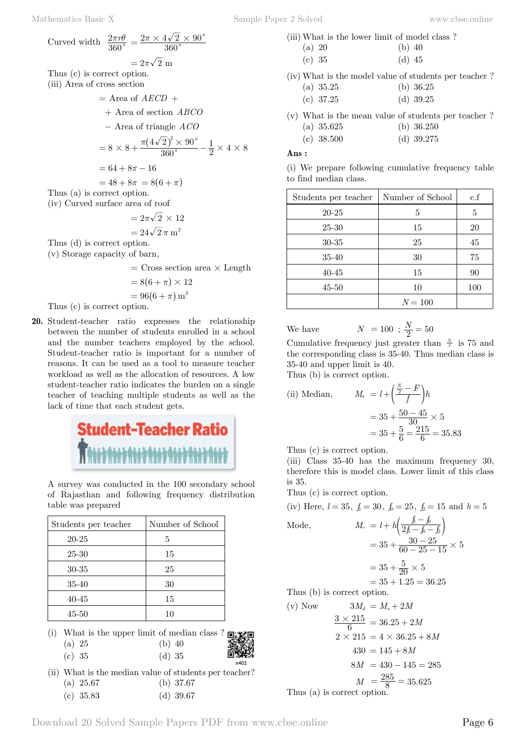$$
- \text{ Area of } ABCO +
$$
  
+ Area of section *ABCO*  

$$
- \text{ Area of triangle } ACO
$$
  

$$
= 8 \times 8 + \frac{\pi (4\sqrt{2})^2 \times 90^\circ}{360^\circ} - \frac{1}{2} \times 4 \times 8
$$
  

$$
= 64 + 8\pi - 16
$$
  

$$
= 48 + 8\pi = 8(6 + \pi)
$$

Thus (a) is correct option. (iv) Curved surface area of roof

$$
=2\pi\sqrt{2}\,\times 12
$$

$$
=24\sqrt{2}\,\pi\,{\rm m}^2
$$

Thus (d) is correct option.

(v) Storage capacity of barn,

 $=$  Cross section area  $\times$  Length

$$
=8(6+\pi)\times12
$$

$$
=96(6+\pi)\,\mathrm{m}^3
$$

Thus (c) is correct option.

**20.** Student-teacher ratio expresses the relationship between the number of students enrolled in a school and the number teachers employed by the school. Student-teacher ratio is important for a number of reasons. It can be used as a tool to measure teacher workload as well as the allocation of resources. A low student-teacher ratio indicates the burden on a single teacher of teaching multiple students as well as the lack of time that each student gets.



A survey was conducted in the 100 secondary school of Rajasthan and following frequency distribution table was prepared

| Students per teacher | Number of School |
|----------------------|------------------|
| 20-25                | 5                |
| 25-30                | 15               |
| 30-35                | 25               |
| $35 - 40$            | 30               |
| $40 - 45$            | 15               |
| $45 - 50$            | 10               |

- (i) What is the upper limit of median class ? (a) 25 (b) 40
	- (c) 35 (d) 35
		-
- (ii) What is the median value of students per teacher? (a) 25.67 (b) 37.67
	- (c) 35.83 (d) 39.67
- (iii) What is the lower limit of model class ? (a) 20 (b) 40 (c) 35 (d) 45
- (iv) What is the model value of students per teacher ? (a) 35.25 (b) 36.25
	- (c) 37.25 (d) 39.25
- (v) What is the mean value of students per teacher ? (a) 35.625 (b) 36.250
	- (c) 38.500 (d) 39.275

### **Ans :**

(i) We prepare following cumulative frequency table to find median class.

| Students per teacher | Number of School | $\mathrm{c.f}$ |
|----------------------|------------------|----------------|
| 20-25                | 5                | 5              |
| 25-30                | 15               | 20             |
| 30-35                | 25               | 45             |
| $35 - 40$            | 30               | 75             |
| $40 - 45$            | 15               | 90             |
| 45-50                | 10               | 100            |
|                      | $N = 100$        |                |

We have 
$$
N = 100
$$
;  $\frac{N}{2} = 50$ 

Cumulative frequency just greater than  $\frac{N}{2}$  is 75 and the corresponding class is 35-40. Thus median class is 35-40 and upper limit is 40.

Thus (b) is correct option.

(ii) Median, 
$$
M_d = l + \left(\frac{\frac{N}{2} - F}{f}\right)h
$$

$$
= 35 + \frac{50 - 45}{30} \times 5
$$

$$
= 35 + \frac{5}{6} = \frac{215}{6} = 35.83
$$

Thus (c) is correct option.

(iii) Class 35-40 has the maximum frequency 30, therefore this is model class. Lower limit of this class is 35.

Thus (c) is correct option.

(iv) Here,  $l = 35$ ,  $f_1 = 30$ ,  $f_0 = 25$ ,  $f_2 = 15$  and  $h = 5$ 

Mode,  
\n
$$
M_o = l + h \left( \frac{f - f_0}{2f - f - f_2} \right)
$$
\n
$$
= 35 + \frac{30 - 25}{60 - 25 - 15} \times 5
$$
\n
$$
= 35 + \frac{5}{20} \times 5
$$

$$
= 35 + 1.25 = 36.25
$$

Thus (b) is correct option.

(v) Now 
$$
3M_d = M_o + 2M
$$
  
\n $\frac{3 \times 215}{6} = 36.25 + 2M$   
\n $2 \times 215 = 4 \times 36.25 + 8M$   
\n $430 = 145 + 8M$   
\n $8M = 430 - 145 = 285$   
\n $M = \frac{285}{8} = 35.625$   
\nThus (a) is correct option.

Download 20 Solved Sample Papers PDF from [www.cbse.online](http://www.cbse.online) Page 6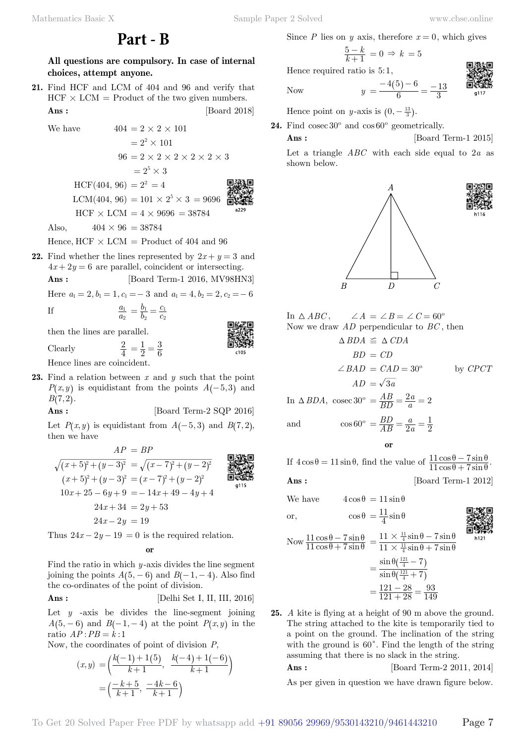**Part - B**

**All questions are compulsory. In case of internal choices, attempt anyone.**

**21.** Find HCF and LCM of 404 and 96 and verify that  $HCF \times LCM =$  Product of the two given numbers. **Ans :** [Board 2018]

We have  $404 = 2 \times 2 \times 101$ 

$$
= 22 \times 101
$$
  
\n
$$
96 = 2 \times 2 \times 2 \times 2 \times 2 \times 3
$$
  
\n
$$
= 25 \times 3
$$
  
\nHCF(404, 96) = 2<sup>2</sup> = 4  
\nLCM(404, 96) = 101 \times 2<sup>5</sup> \times 3 = 9696  
\nHCF × LCM = 4 × 9696 = 38784  
\nAlso  $404 \times 96 = 38784$ 

Also,  $404 \times 96 = 38784$ 

*a a* 2  $\frac{1}{2} = \frac{b}{b}$ *b*

2

Hence,  $HCF \times LCM =$  Product of 404 and 96

**22.** Find whether the lines represented by  $2x + y = 3$  and  $4x + 2y = 6$  are parallel, coincident or intersecting.

$$
Ans: \qquad \qquad [\text{Board Term-1 2016, MV98HN3}]
$$

*c c*

Here  $a_1 = 2, b_1 = 1, c_1 = -3$  and  $a_1 = 4, b_2 = 2, c_2 = -6$ 

2 1  $=\frac{v_1}{b_2}=\frac{c_1}{c_2}$ 

1

$$
\mathbf{If} \quad
$$

then the lines are parallel.

Clearly

2  $=\frac{1}{2}=\frac{3}{6}$ Hence lines are coincident.

**23.** Find a relation between *x* and *y* such that the point  $P(x, y)$  is equidistant from the points  $A(-5, 3)$  and  $B(7, 2)$ .

**Ans :** [Board Term-2 SQP 2016]

Let  $P(x, y)$  is equidistant from  $A(-5, 3)$  and  $B(7, 2)$ , then we have

$$
AP = BP
$$
\n
$$
\sqrt{(x+5)^2 + (y-3)^2} = \sqrt{(x-7)^2 + (y-2)^2}
$$
\n
$$
(x+5)^2 + (y-3)^2 = (x-7)^2 + (y-2)^2
$$
\n
$$
10x + 25 - 6y + 9 = -14x + 49 - 4y + 4
$$
\n
$$
24x + 34 = 2y + 53
$$
\n
$$
24x - 2y = 19
$$

Thus  $24x - 2y - 19 = 0$  is the required relation.

 **o**

Find the ratio in which *y* -axis divides the line segment joining the points  $A(5, -6)$  and  $B(-1, -4)$ . Also find the co-ordinates of the point of division.

**Ans :** [Delhi Set I, II, III, 2016]

Let  $y$  -axis be divides the line-segment joining  $A(5, -6)$  and  $B(-1, -4)$  at the point  $P(x, y)$  in the ratio  $\overrightarrow{AP}$  :  $PB = \overrightarrow{k}$  : 1

Now, the coordinates of point of division *P*,

$$
(x,y) = \left(\frac{k(-1)+1(5)}{k+1}, \frac{k(-4)+1(-6)}{k+1}\right)
$$

$$
= \left(\frac{-k+5}{k+1}, \frac{-4k-6}{k+1}\right)
$$

Since *P* lies on *y* axis, therefore  $x = 0$ , which gives

 $=\frac{-4(5)-6}{6}=\frac{-13}{3}$ 

$$
\frac{5-k}{k+1} = 0 \Rightarrow k = 5
$$

Hence required ratio is  $5:1$ .



Now  $y = \frac{-4(5) - 6}{6}$ 

Hence point on *y*-axis is  $(0, -\frac{13}{3})$ .

**24.** Find cosec 30º and cos 60º geometrically.

**Ans :** [Board Term-1 2015]

Let a triangle *ABC* with each side equal to 2*a* as shown below.



In  $\triangle ABC$ ,  $\angle A = \angle B = \angle C = 60^{\circ}$ Now we draw *AD* perpendicular to *BC* , then

$$
\Delta BDA \cong \Delta CDA
$$
  
 
$$
BD = CD
$$
  
 
$$
\angle BAD = CAD = 30^{\circ} \qquad \text{by } CPCT
$$
  
 
$$
AD = \sqrt{3a}
$$

In  $\triangle$  *BDA*, cosec 30° =  $\frac{AB}{BD}$  $\frac{AB}{BD} = \frac{2a}{a} = 2$ and  $\cos 60^\circ = \frac{BD}{AB}$ *a a*  $\frac{BD}{AB} = \frac{a}{2a} = \frac{1}{2}$  **o**

If  $4\cos\theta = 11\sin\theta$ , find the value of  $\frac{11\cos\theta - 7\sin\theta}{11\cos\theta + 7\sin\theta}$ .  $11 \cos \theta + 7$  $11 \cos \theta - 7$  $\theta + 7\sin\theta$  $\theta - 7\sin\theta$  $+$ − **Ans :** [Board Term-1 2012]

We have  $4\cos\theta = 11\sin\theta$ 

$$
\frac{1}{2}
$$

h121

$$
cos θ = \frac{11}{4} sin θ
$$
  
\nNow 
$$
\frac{11 cos θ - 7 sin θ}{11 cos θ + 7 sin θ} = \frac{11 \times \frac{11}{4} sin θ - 7 sin θ}{11 \times \frac{11}{4} sin θ + 7 sin θ}
$$

$$
= \frac{sin θ(\frac{121}{4} - 7)}{sin θ(\frac{121}{4} + 7)}
$$

$$
= \frac{121 - 28}{121 + 28} = \frac{93}{149}
$$

**25.** *A* kite is flying at a height of 90 m above the ground. The string attached to the kite is temporarily tied to a point on the ground. The inclination of the string with the ground is  $60^\circ$ . Find the length of the string assuming that there is no slack in the string.

**Ans :** [Board Term-2 2011, 2014]

As per given in question we have drawn figure below.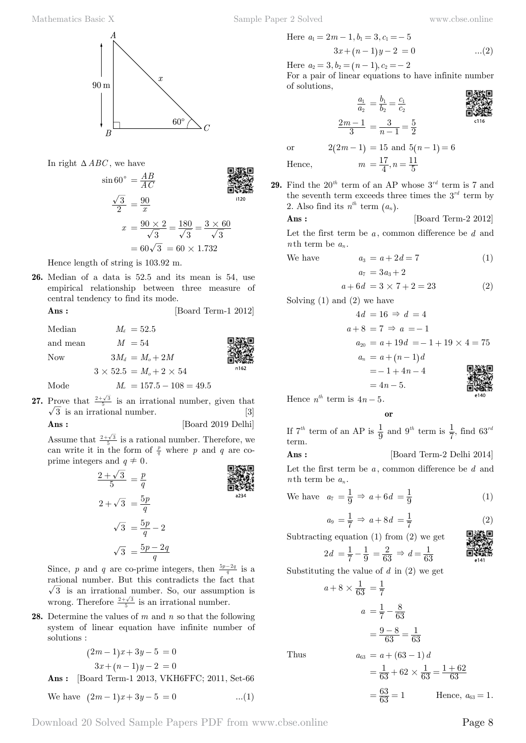In right  $\triangle ABC$ , we have

$$
\sin 60^\circ = \frac{AB}{AC}
$$
  
\n
$$
\frac{\sqrt{3}}{2} = \frac{90}{x}
$$
  
\n
$$
x = \frac{90 \times 2}{\sqrt{3}} = \frac{180}{\sqrt{3}} = \frac{3 \times 60}{\sqrt{3}}
$$
  
\n=  $60\sqrt{3} = 60 \times 1.732$ 

Hence length of string is 103.92 m.

**26.** Median of a data is 52.5 and its mean is 54, use empirical relationship between three measure of central tendency to find its mode.

**Ans :** [Board Term-1 2012]

 $M_d = 52.5$ and mean  $M = 54$ Now  $3M_d = M_o + 2M$  $3 \times 52.5 = M_o + 2 \times 54$ Mode  $M_o = 157.5 - 108 = 49.5$ 

**27.** Prove that  $\frac{2+\sqrt{3}}{5}$  is an irrational number, given that  $\sqrt{3}$  is an irrational number. [3]

$$
Ans: \qquad \qquad [\text{Board 2019 Delhi}]
$$

Assume that  $\frac{2+\sqrt{3}}{5}$  is a rational number. Therefore, we can write it in the form of  $\frac{p}{q}$  where *p* and *q* are coprime integers and  $q \neq 0$ .

$$
\frac{2+\sqrt{3}}{5} = \frac{p}{q}
$$
\n
$$
2+\sqrt{3} = \frac{5p}{q}
$$
\n
$$
\sqrt{3} = \frac{5p}{q} - 2
$$
\n
$$
\sqrt{3} = \frac{5p-2q}{q}
$$

Since, *p* and *q* are co-prime integers, then  $\frac{5p-2q}{q}$  is a rational number. But this contradicts the fact that  $\sqrt{3}$  is an irrational number. So, our assumption is wrong. Therefore  $\frac{2+\sqrt{3}}{5}$  is an irrational number.

**28.** Determine the values of *m* and *n* so that the following system of linear equation have infinite number of solutions :

$$
(2m-1)x + 3y - 5 = 0
$$
  
3x + (n-1)y - 2 = 0  
[2ord Term 1.2012 VKIEEEC. 2011. Set 6]

 **Ans :** [Board Term-1 2013, VKH6FFC; 2011, Set-66

We have 
$$
(2m-1)x + 3y - 5 = 0
$$
 ...(1)

Here 
$$
a_1 = 2m - 1
$$
,  $b_1 = 3$ ,  $c_1 = -5$   

$$
3x + (n - 1)y - 2 = 0
$$
...(2)

Here  $a_2 = 3, b_2 = (n - 1), c_2 = -2$ 

For a pair of linear equations to have infinite number of solutions,

$$
\frac{a_1}{a_2} = \frac{b_1}{b_2} = \frac{c_1}{c_2}
$$

$$
\frac{2m-1}{3} = \frac{3}{n-1} =
$$

$$
\frac{u_2}{3} - \frac{v_2}{2} - \frac{v_2}{2}
$$

$$
\frac{2m-1}{3} = \frac{3}{n-1} = \frac{5}{2}
$$

$$
\frac{2m-1}{3} = \frac{3}{n-1} = \frac{5}{2}
$$

or  $2(2m - 1) = 15$  and  $5(n - 1) = 6$ 

Hence,  $m = \frac{17}{4}, n$  $=\frac{17}{4}, n=\frac{11}{5}$ **29.** Find the  $20^{th}$  term of an AP whose  $3^{rd}$  term is 7 and the seventh term exceeds three times the  $3^{rd}$  term by 2. Also find its  $n^{th}$  term  $(a_n)$ .

$$
Ans: \qquad \qquad [\text{Board Term-2 2012}]
$$

Let the first term be *a* , common difference be *d* and *n*th term be  $a_n$ .

We have 
$$
a_3 = a + 2d = 7
$$
 (1)  
 $a_7 = 3a_3 + 2$ 

$$
a + 6d = 3 \times 7 + 2 = 23 \tag{2}
$$

Solving (1) and (2) we have

$$
4d = 16 \Rightarrow d = 4
$$
  
\n
$$
a + 8 = 7 \Rightarrow a = -1
$$
  
\n
$$
a_{20} = a + 19d = -1 + 19 \times 4 = 75
$$
  
\n
$$
a_n = a + (n - 1)d
$$
  
\n
$$
= -1 + 4n - 4
$$
  
\n
$$
= 4n - 5.
$$

Hence  $n^{th}$  term is  $4n - 5$ .

 **o**

If  $7^{th}$  term of an AP is  $\frac{1}{9}$  and  $9^{th}$  term is  $\frac{1}{7}$ , find  $63^{rd}$ term.

 **Ans :** [Board Term-2 Delhi 2014]

Let the first term be *a* , common difference be *d* and *n*th term be  $a_n$ .

We have 
$$
a_7 = \frac{1}{9} \Rightarrow a + 6d = \frac{1}{9}
$$
 (1)

$$
a_9 = \frac{1}{7} \Rightarrow a + 8d = \frac{1}{7}
$$
 (2)

Subtracting equation (1) from (2) we get

$$
2d = \frac{1}{7} - \frac{1}{9} = \frac{2}{63} \Rightarrow d = \frac{1}{63}
$$

$$
\begin{matrix}\n\mathbf{a} \\
\mathbf{b} \\
\mathbf{c}\n\end{matrix}
$$

Substituting the value of *d* in (2) we get

Thus

$$
a + 8 \times \frac{1}{63} = \frac{1}{7}
$$
  
\n
$$
a = \frac{1}{7} - \frac{8}{63}
$$
  
\n
$$
= \frac{9 - 8}{63} = \frac{1}{63}
$$
  
\nThus  
\n
$$
a_{63} = a + (63 - 1)d
$$
  
\n
$$
= \frac{1}{63} + 62 \times \frac{1}{63} = \frac{1 + 62}{63}
$$

 $=\frac{63}{63}=1$ Hence,  $a_{63} = 1$ .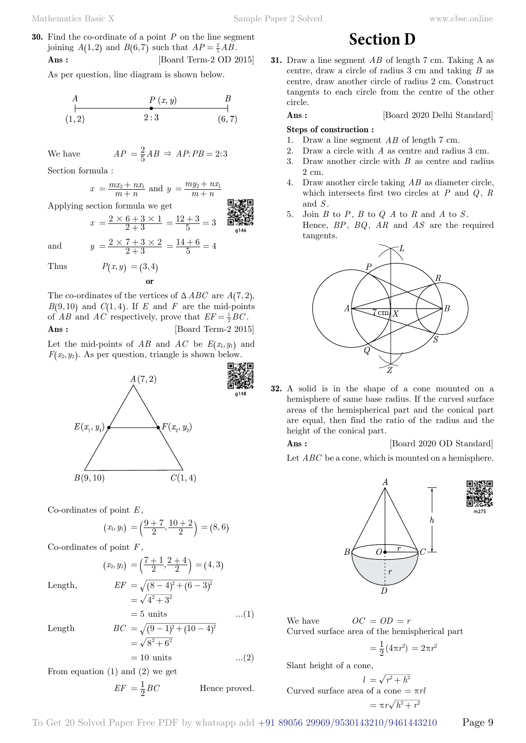**30.** Find the co-ordinate of a point *P* on the line segment joining  $A(1,2)$  and  $B(6,7)$  such that  $AP = \frac{2}{5} AB$ . **Ans :** [Board Term-2 OD 2015]

As per question, line diagram is shown below.

$$
\begin{array}{ccc}\nA & P(x, y) & B \\
\downarrow & \bullet & \bullet \\
(1, 2) & 2:3 & (6, 7)\n\end{array}
$$

We have  $AP = \frac{2}{5}AB \Rightarrow AP : PB = 2:3$ 

Section formula :

$$
x = \frac{mx_2 + nx_1}{m+n}
$$
 and  $y = \frac{my_2 + nx_1}{m+n}$ 

Applying section formula we get

 $x = \frac{2 \times 6 + 3 \times 1}{2 + 3}$  $=\frac{12+3}{5}=3$ and  $y = \frac{2 \times 7 + 3 \times 2}{2 + 3}$  $=\frac{14+6}{5}=4$ 

Thus  $P(x, y) = (3, 4)$ 

The co-ordinates of the vertices of  $\triangle ABC$  are  $A(7, 2)$ ,  $B(9, 10)$  and  $C(1, 4)$ . If *E* and *F* are the mid-points of *AB* and *AC* respectively, prove that  $EF = \frac{1}{2}BC$ .

 **o**

$$
Ans: \qquad \qquad [\text{Board Term-2 2015}]
$$

Let the mid-points of  $AB$  and  $AC$  be  $E(x_1, y_1)$  and  $F(x_2, y_2)$ . As per question, triangle is shown below.



Co-ordinates of point *E* ,

$$
(x_1,y_1)=\left(\frac{9+7}{2},\frac{10+2}{2}\right)=(8,6)
$$

Co-ordinates of point *F* ,

Length,

$$
(x_2, y_2) = \left(\frac{7+1}{2}, \frac{2+4}{2}\right) = (4, 3)
$$
  
Length, 
$$
EF = \sqrt{(8-4)^2 + (6-3)^2}
$$

$$
= \sqrt{4^2 + 3^2}
$$

$$
\overline{\text{Length}}
$$

Length 
$$
BC = \sqrt{(9-1)^2 + (10-4)^2}
$$

$$
= \sqrt{8^2 + 6^2}
$$

$$
= 10 \text{ units} \qquad ...(2)
$$

 $= 5 \text{ units}$  ...(1)

From equation  $(1)$  and  $(2)$  we get

$$
EF = \frac{1}{2}BC
$$
 Hence proved.

**31.** Draw a line segment *AB* of length 7 cm. Taking A as centre, draw a circle of radius 3 cm and taking *B* as centre, draw another circle of radius 2 cm. Construct

tangents to each circle from the centre of the other

**Section D**

circle.

**Ans :** [Board 2020 Delhi Standard]

#### **Steps of construction :**

- 1. Draw a line segment *AB* of length 7 cm.
- 2. Draw a circle with *A* as centre and radius 3 cm.
- 3. Draw another circle with *B* as centre and radius  $2 \text{ cm}$
- 4. Draw another circle taking *AB* as diameter circle, which intersects first two circles at *P* and *Q*, *R* and *S* .
- 5. Join *B* to *P*, *B* to *Q A* to *R* and *A* to *S* . Hence, *BP*, *BQ*, *AR* and *AS* are the required



**32.** A solid is in the shape of a cone mounted on a hemisphere of same base radius. If the curved surface areas of the hemispherical part and the conical part are equal, then find the ratio of the radius and the height of the conical part.

**Ans :** [Board 2020 OD Standard]

Let *ABC* be a cone, which is mounted on a hemisphere.







We have  $OC = OD = r$ Curved surface area of the hemispherical part

$$
= \frac{1}{2}(4\pi r^2) = 2\pi r^2
$$

Slant height of a cone,

 $l = \sqrt{r^2 + h^2}$ Curved surface area of a cone  $= \pi r l$  $=\pi r \sqrt{h^2+r^2}$ 

$$
= \pi r \sqrt{h^2 + r^2}
$$

To Get 20 Solved Paper Free PDF by whatsapp add  $+91$  89056 29969/9530143210/9461443210 Page 9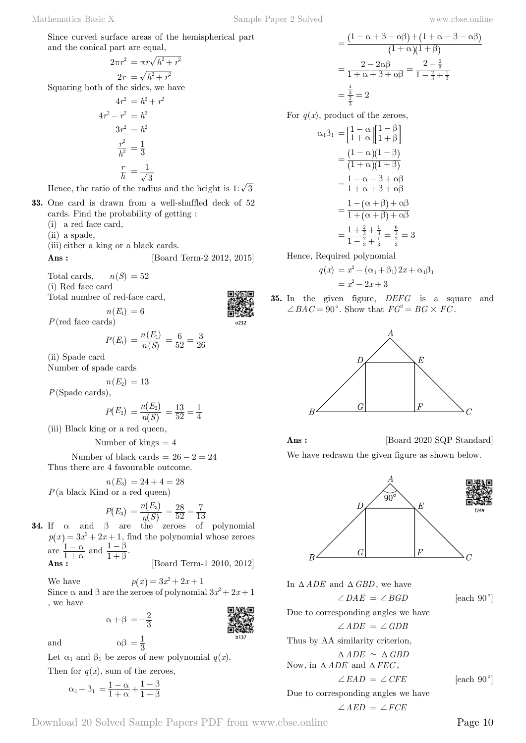Since curved surface areas of the hemispherical part and the conical part are equal,

$$
2\pi r^2 = \pi r \sqrt{h^2 + r^2}
$$
  
\n
$$
2r = \sqrt{h^2 + r^2}
$$
  
\nSquaring both of the sides, we have  
\n
$$
4r^2 = h^2 + r^2
$$
  
\n
$$
4r^2 - r^2 = h^2
$$
  
\n
$$
3r^2 = h^2
$$
  
\n
$$
\frac{r^2}{h^2} = \frac{1}{3}
$$
  
\n
$$
\frac{r}{h} = \frac{1}{\sqrt{3}}
$$

Hence, the ratio of the radius and the height is  $1:\sqrt{3}$ 

- **33.** One card is drawn from a well-shuffled deck of 52 cards. Find the probability of getting :
	- (i) a red face card,
	- (ii) a spade,
	- (iii) either a king or a black cards.
	- **Ans :** [Board Term-2 2012, 2015]

Total cards,  $n(S) = 52$ (i) Red face card

Total number of red-face card,

 $n(E_1) = 6$ 



$$
P(E_1) = \frac{n(E_1)}{n(S)} = \frac{6}{52} = \frac{3}{26}
$$

(ii) Spade card

Number of spade cards

$$
n(E_2)=13
$$

*P*(Spade cards),

$$
P(E_2) = \frac{n(E_2)}{n(S)} = \frac{13}{52} = \frac{1}{4}
$$

(iii) Black king or a red queen,

Number of kings  $= 4$ 

Number of black cards =  $26 - 2 = 24$ Thus there are 4 favourable outcome.

 $n(E_3) = 24 + 4 = 28$ *P*(a black Kind or a red queen)

$$
P(E_3) = \frac{n(E_3)}{n(S)} = \frac{28}{52} = \frac{7}{13}
$$

**34.** If  $\alpha$  and  $\beta$  are the zeroes of polynomial  $p(x) = 3x^2 + 2x + 1$ , find the polynomial whose zeroes are  $\frac{1}{1}$ α α  $\frac{-\alpha}{+\alpha}$  and  $\frac{1}{1}$ β β  $\frac{-\beta}{+\beta}$ . [Board Term-1 2010, 2012]

$$
\mathbf{Ans:}\quad
$$

We have  $p(x) = 3x^2 + 2x + 1$ Since  $\alpha$  and  $\beta$  are the zeroes of polynomial  $3x^2 + 2x + 1$ , we have

$$
\alpha + \beta = -\frac{2}{3}
$$

and  $\alpha\beta = \frac{1}{3}$ 

Let  $\alpha_1$  and  $\beta_1$  be zeros of new polynomial  $q(x)$ .

Then for  $q(x)$ , sum of the zeroes,

$$
\alpha_1+\beta_1\,=\frac{1-\alpha}{1+\alpha}+\frac{1-\beta}{1+\beta}
$$

$$
= \frac{(1 - \alpha + \beta - \alpha\beta) + (1 + \alpha - \beta - \alpha\beta)}{(1 + \alpha)(1 + \beta)}
$$
  
= 
$$
\frac{2 - 2\alpha\beta}{1 + \alpha + \beta + \alpha\beta} = \frac{2 - \frac{2}{3}}{1 - \frac{2}{3} + \frac{1}{3}}
$$
  
= 
$$
\frac{\frac{4}{3}}{\frac{3}{3}} = 2
$$

For  $q(x)$ , product of the zeroes,

$$
\alpha_1 \beta_1 = \left[ \frac{1 - \alpha}{1 + \alpha} \right] \left[ \frac{1 - \beta}{1 + \beta} \right]
$$

$$
= \frac{(1 - \alpha)(1 - \beta)}{(1 + \alpha)(1 + \beta)}
$$

$$
= \frac{1 - \alpha - \beta + \alpha\beta}{1 + \alpha + \beta + \alpha\beta}
$$

$$
= \frac{1 - (\alpha + \beta) + \alpha\beta}{1 + (\alpha + \beta) + \alpha\beta}
$$

$$
= \frac{1 + \frac{2}{3} + \frac{1}{3}}{1 - \frac{2}{3} + \frac{1}{3}} = \frac{\frac{6}{3}}{\frac{2}{3}} = 3
$$

Hence, Required polynomial

$$
q(x) = x2 - (\alpha_1 + \beta_1) 2x + \alpha_1 \beta_1 = x2 - 2x + 3
$$

**35.** In the given figure, *DEFG* is a square and  $\angle BAC = 90^{\circ}$ . Show that  $FG^2 = BG \times FC$ .



**Ans :** [Board 2020 SQP Standard] We have redrawn the given figure as shown below.



In  $\triangle ADE$  and  $\triangle GBD$ , we have

 $\angle DAE = \angle BGD$  [each 90<sup>°</sup>]

Due to corresponding angles we have  $\angle ADE = \angle GDB$ 

Thus by AA similarity criterion,

 $\triangle$ *ADE*  $\sim$   $\triangle$ *GBD* 

Now, in 
$$
\triangle ADE
$$
 and  $\triangle FEC$ ,

 $\angle EAD = \angle CFE$  [each 90<sup>°</sup>]

Due to corresponding angles we have  $\angle AED = \angle FCE$ 

Download 20 Solved Sample Papers PDF from [www.cbse.online](http://www.cbse.online) Page 10